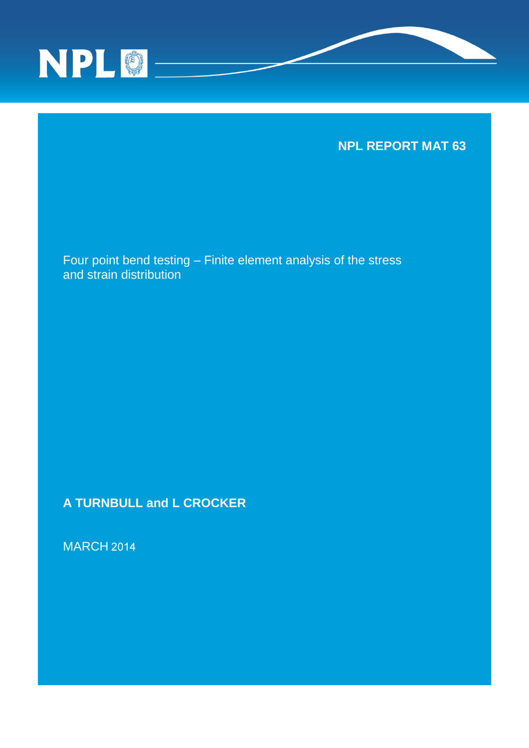



Four point bend testing – Finite element analysis of the stress and strain distribution

**A TURNBULL and L CROCKER**

MARCH 2014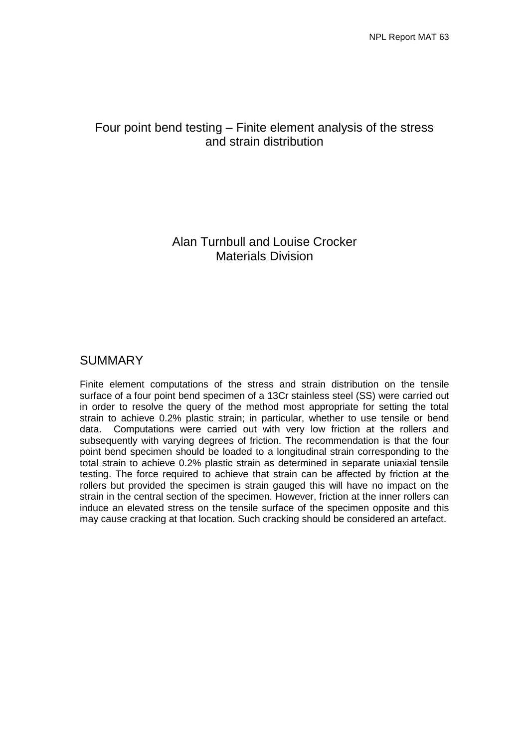# Four point bend testing – Finite element analysis of the stress and strain distribution

## Alan Turnbull and Louise Crocker Materials Division

## SUMMARY

Finite element computations of the stress and strain distribution on the tensile surface of a four point bend specimen of a 13Cr stainless steel (SS) were carried out in order to resolve the query of the method most appropriate for setting the total strain to achieve 0.2% plastic strain; in particular, whether to use tensile or bend data. Computations were carried out with very low friction at the rollers and subsequently with varying degrees of friction. The recommendation is that the four point bend specimen should be loaded to a longitudinal strain corresponding to the total strain to achieve 0.2% plastic strain as determined in separate uniaxial tensile testing. The force required to achieve that strain can be affected by friction at the rollers but provided the specimen is strain gauged this will have no impact on the strain in the central section of the specimen. However, friction at the inner rollers can induce an elevated stress on the tensile surface of the specimen opposite and this may cause cracking at that location. Such cracking should be considered an artefact.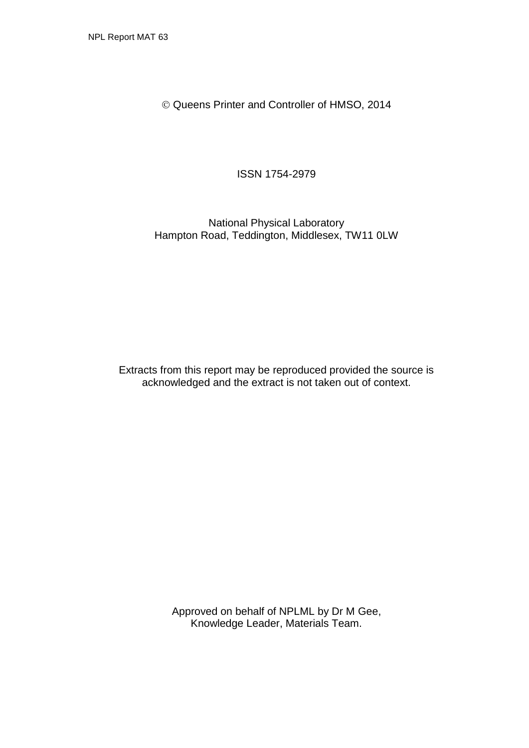Queens Printer and Controller of HMSO, 2014

ISSN 1754-2979

National Physical Laboratory Hampton Road, Teddington, Middlesex, TW11 0LW

Extracts from this report may be reproduced provided the source is acknowledged and the extract is not taken out of context.

> Approved on behalf of NPLML by Dr M Gee, Knowledge Leader, Materials Team.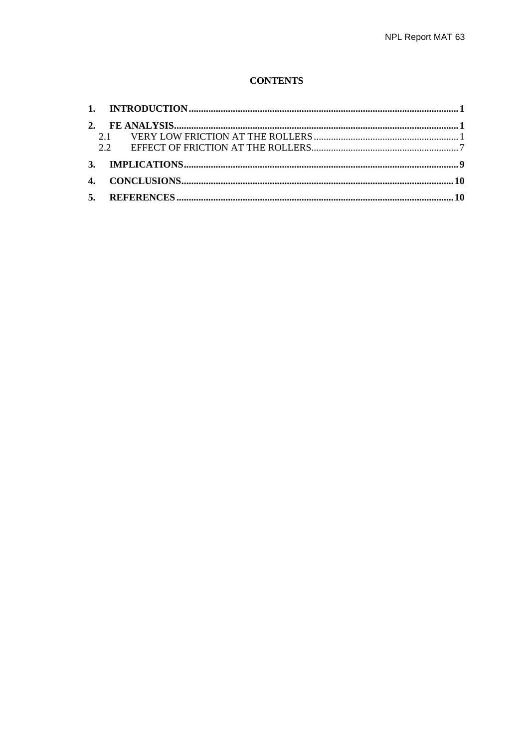## **CONTENTS**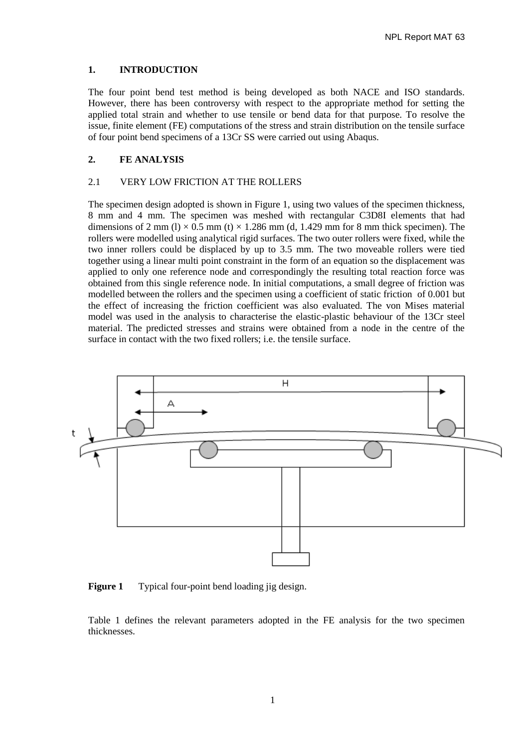#### <span id="page-6-0"></span>**1. INTRODUCTION**

The four point bend test method is being developed as both NACE and ISO standards. However, there has been controversy with respect to the appropriate method for setting the applied total strain and whether to use tensile or bend data for that purpose. To resolve the issue, finite element (FE) computations of the stress and strain distribution on the tensile surface of four point bend specimens of a 13Cr SS were carried out using Abaqus.

### <span id="page-6-1"></span>**2. FE ANALYSIS**

#### <span id="page-6-2"></span>2.1 VERY LOW FRICTION AT THE ROLLERS

The specimen design adopted is shown in Figure 1, using two values of the specimen thickness, 8 mm and 4 mm. The specimen was meshed with rectangular C3D8I elements that had dimensions of 2 mm (l)  $\times$  0.5 mm (t)  $\times$  1.286 mm (d, 1.429 mm for 8 mm thick specimen). The rollers were modelled using analytical rigid surfaces. The two outer rollers were fixed, while the two inner rollers could be displaced by up to 3.5 mm. The two moveable rollers were tied together using a linear multi point constraint in the form of an equation so the displacement was applied to only one reference node and correspondingly the resulting total reaction force was obtained from this single reference node. In initial computations, a small degree of friction was modelled between the rollers and the specimen using a coefficient of static friction of 0.001 but the effect of increasing the friction coefficient was also evaluated. The von Mises material model was used in the analysis to characterise the elastic-plastic behaviour of the 13Cr steel material. The predicted stresses and strains were obtained from a node in the centre of the surface in contact with the two fixed rollers; i.e. the tensile surface.



**Figure 1** Typical four-point bend loading jig design.

Table 1 defines the relevant parameters adopted in the FE analysis for the two specimen thicknesses.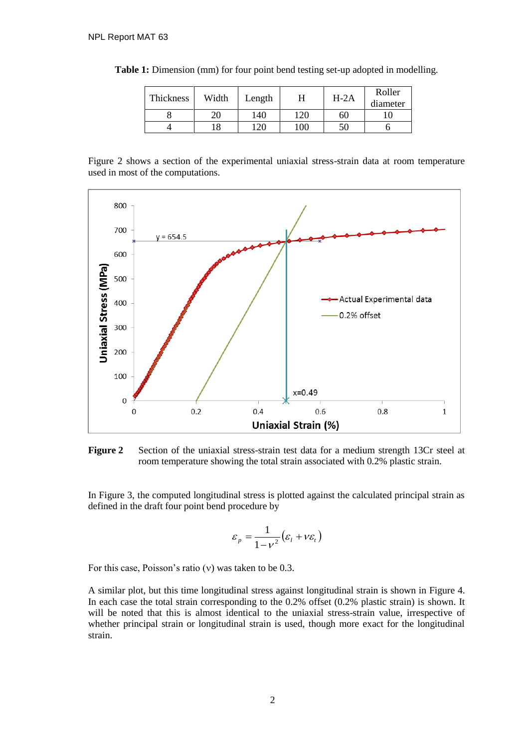| Thickness | Width | Length     | H                                  | $H-2A$ | Roller<br>diameter |
|-----------|-------|------------|------------------------------------|--------|--------------------|
|           | 20    | 140        | 120                                | 60     |                    |
|           | 18    | $\cdot$ 20 | $\hspace{.08cm} 00 \hspace{.08cm}$ | 50     |                    |

**Table 1:** Dimension (mm) for four point bend testing set-up adopted in modelling.

Figure 2 shows a section of the experimental uniaxial stress-strain data at room temperature used in most of the computations.



**Figure 2** Section of the uniaxial stress-strain test data for a medium strength 13Cr steel at room temperature showing the total strain associated with 0.2% plastic strain.

In Figure 3, the computed longitudinal stress is plotted against the calculated principal strain as defined in the draft four point bend procedure by

$$
\varepsilon_p = \frac{1}{1 - v^2} (\varepsilon_l + v \varepsilon_t)
$$

For this case, Poisson's ratio  $(v)$  was taken to be 0.3.

A similar plot, but this time longitudinal stress against longitudinal strain is shown in Figure 4. In each case the total strain corresponding to the 0.2% offset (0.2% plastic strain) is shown. It will be noted that this is almost identical to the uniaxial stress-strain value, irrespective of whether principal strain or longitudinal strain is used, though more exact for the longitudinal strain.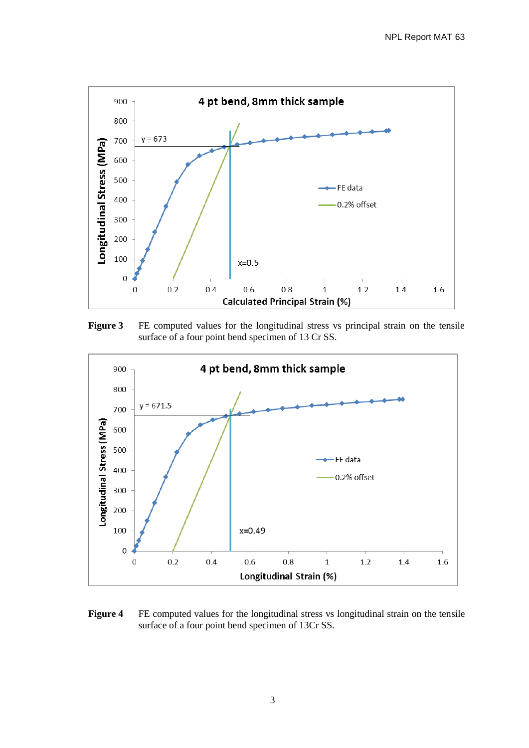

Figure 3 FE computed values for the longitudinal stress vs principal strain on the tensile surface of a four point bend specimen of 13 Cr SS.



**Figure 4** FE computed values for the longitudinal stress vs longitudinal strain on the tensile surface of a four point bend specimen of 13Cr SS.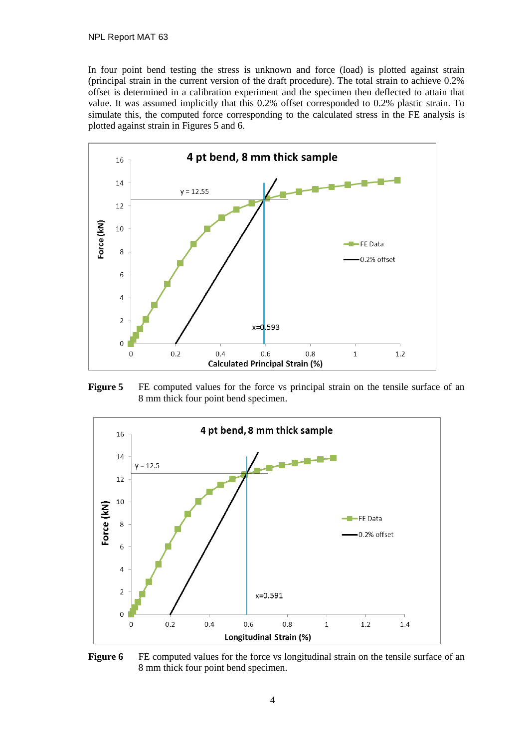In four point bend testing the stress is unknown and force (load) is plotted against strain (principal strain in the current version of the draft procedure). The total strain to achieve 0.2% offset is determined in a calibration experiment and the specimen then deflected to attain that value. It was assumed implicitly that this 0.2% offset corresponded to 0.2% plastic strain. To simulate this, the computed force corresponding to the calculated stress in the FE analysis is plotted against strain in Figures 5 and 6.



**Figure 5** FE computed values for the force vs principal strain on the tensile surface of an 8 mm thick four point bend specimen.



**Figure 6** FE computed values for the force vs longitudinal strain on the tensile surface of an 8 mm thick four point bend specimen.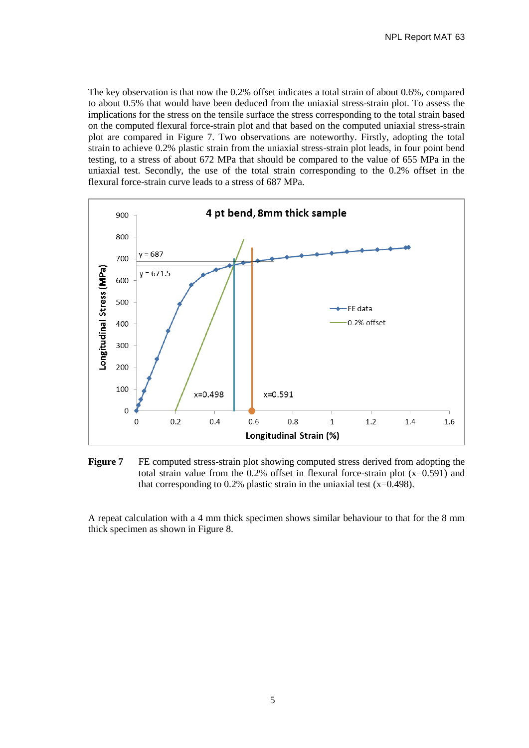The key observation is that now the 0.2% offset indicates a total strain of about 0.6%, compared to about 0.5% that would have been deduced from the uniaxial stress-strain plot. To assess the implications for the stress on the tensile surface the stress corresponding to the total strain based on the computed flexural force-strain plot and that based on the computed uniaxial stress-strain plot are compared in Figure 7. Two observations are noteworthy. Firstly, adopting the total strain to achieve 0.2% plastic strain from the uniaxial stress-strain plot leads, in four point bend testing, to a stress of about 672 MPa that should be compared to the value of 655 MPa in the uniaxial test. Secondly, the use of the total strain corresponding to the 0.2% offset in the flexural force-strain curve leads to a stress of 687 MPa.



**Figure 7** FE computed stress-strain plot showing computed stress derived from adopting the total strain value from the 0.2% offset in flexural force-strain plot  $(x=0.591)$  and that corresponding to 0.2% plastic strain in the uniaxial test  $(x=0.498)$ .

A repeat calculation with a 4 mm thick specimen shows similar behaviour to that for the 8 mm thick specimen as shown in Figure 8.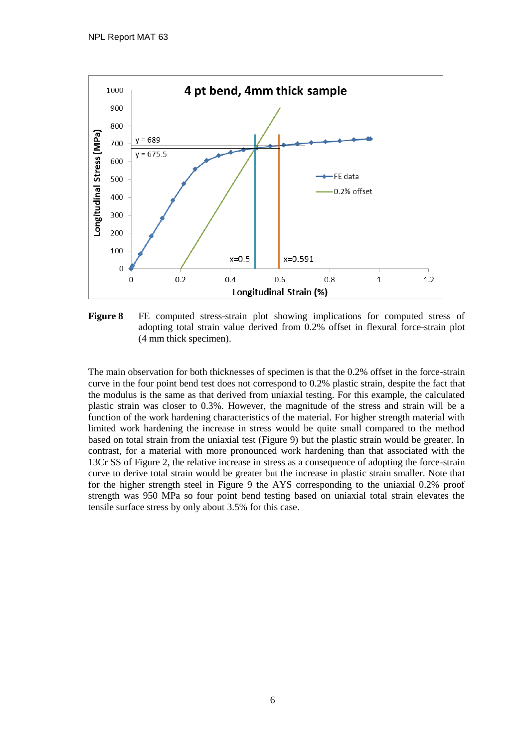

**Figure 8** FE computed stress-strain plot showing implications for computed stress of adopting total strain value derived from 0.2% offset in flexural force-strain plot (4 mm thick specimen).

The main observation for both thicknesses of specimen is that the 0.2% offset in the force-strain curve in the four point bend test does not correspond to 0.2% plastic strain, despite the fact that the modulus is the same as that derived from uniaxial testing. For this example, the calculated plastic strain was closer to 0.3%. However, the magnitude of the stress and strain will be a function of the work hardening characteristics of the material. For higher strength material with limited work hardening the increase in stress would be quite small compared to the method based on total strain from the uniaxial test (Figure 9) but the plastic strain would be greater. In contrast, for a material with more pronounced work hardening than that associated with the 13Cr SS of Figure 2, the relative increase in stress as a consequence of adopting the force-strain curve to derive total strain would be greater but the increase in plastic strain smaller. Note that for the higher strength steel in Figure 9 the AYS corresponding to the uniaxial 0.2% proof strength was 950 MPa so four point bend testing based on uniaxial total strain elevates the tensile surface stress by only about 3.5% for this case.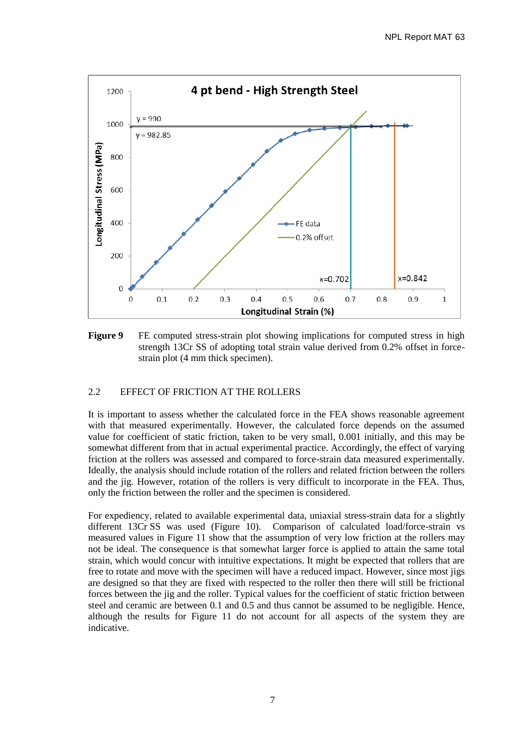

**Figure 9** FE computed stress-strain plot showing implications for computed stress in high strength 13Cr SS of adopting total strain value derived from 0.2% offset in forcestrain plot (4 mm thick specimen).

### <span id="page-12-0"></span>2.2 EFFECT OF FRICTION AT THE ROLLERS

It is important to assess whether the calculated force in the FEA shows reasonable agreement with that measured experimentally. However, the calculated force depends on the assumed value for coefficient of static friction, taken to be very small, 0.001 initially, and this may be somewhat different from that in actual experimental practice. Accordingly, the effect of varying friction at the rollers was assessed and compared to force-strain data measured experimentally. Ideally, the analysis should include rotation of the rollers and related friction between the rollers and the jig. However, rotation of the rollers is very difficult to incorporate in the FEA. Thus, only the friction between the roller and the specimen is considered.

For expediency, related to available experimental data, uniaxial stress-strain data for a slightly different 13Cr SS was used (Figure 10). Comparison of calculated load/force-strain vs measured values in Figure 11 show that the assumption of very low friction at the rollers may not be ideal. The consequence is that somewhat larger force is applied to attain the same total strain, which would concur with intuitive expectations. It might be expected that rollers that are free to rotate and move with the specimen will have a reduced impact. However, since most jigs are designed so that they are fixed with respected to the roller then there will still be frictional forces between the jig and the roller. Typical values for the coefficient of static friction between steel and ceramic are between 0.1 and 0.5 and thus cannot be assumed to be negligible. Hence, although the results for Figure 11 do not account for all aspects of the system they are indicative.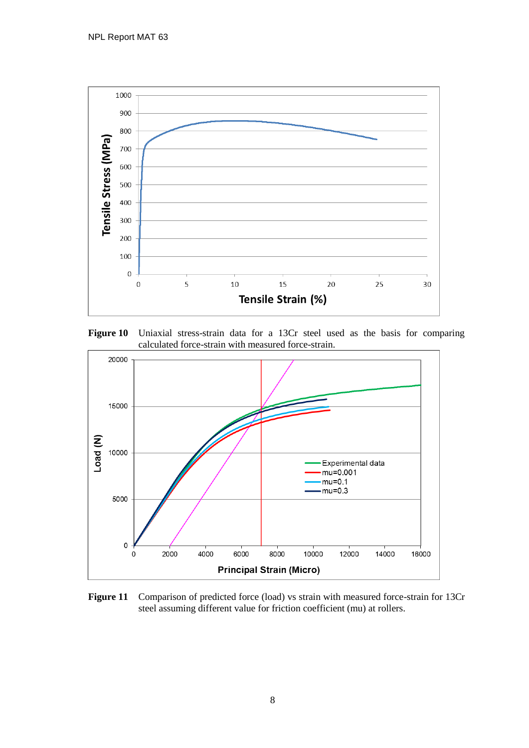

**Figure 10** Uniaxial stress-strain data for a 13Cr steel used as the basis for comparing calculated force-strain with measured force-strain.



Figure 11 Comparison of predicted force (load) vs strain with measured force-strain for 13Cr steel assuming different value for friction coefficient (mu) at rollers.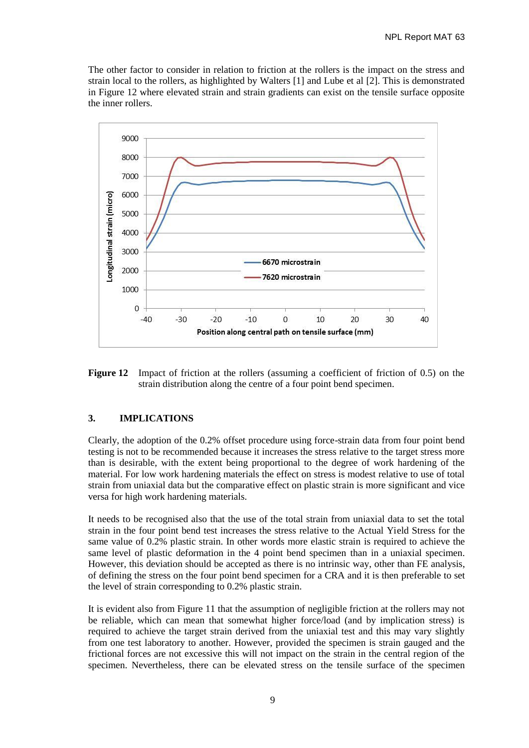The other factor to consider in relation to friction at the rollers is the impact on the stress and strain local to the rollers, as highlighted by Walters [1] and Lube et al [2]. This is demonstrated in Figure 12 where elevated strain and strain gradients can exist on the tensile surface opposite the inner rollers.



**Figure 12** Impact of friction at the rollers (assuming a coefficient of friction of 0.5) on the strain distribution along the centre of a four point bend specimen.

## <span id="page-14-0"></span>**3. IMPLICATIONS**

Clearly, the adoption of the 0.2% offset procedure using force-strain data from four point bend testing is not to be recommended because it increases the stress relative to the target stress more than is desirable, with the extent being proportional to the degree of work hardening of the material. For low work hardening materials the effect on stress is modest relative to use of total strain from uniaxial data but the comparative effect on plastic strain is more significant and vice versa for high work hardening materials.

It needs to be recognised also that the use of the total strain from uniaxial data to set the total strain in the four point bend test increases the stress relative to the Actual Yield Stress for the same value of 0.2% plastic strain. In other words more elastic strain is required to achieve the same level of plastic deformation in the 4 point bend specimen than in a uniaxial specimen. However, this deviation should be accepted as there is no intrinsic way, other than FE analysis, of defining the stress on the four point bend specimen for a CRA and it is then preferable to set the level of strain corresponding to 0.2% plastic strain.

It is evident also from Figure 11 that the assumption of negligible friction at the rollers may not be reliable, which can mean that somewhat higher force/load (and by implication stress) is required to achieve the target strain derived from the uniaxial test and this may vary slightly from one test laboratory to another. However, provided the specimen is strain gauged and the frictional forces are not excessive this will not impact on the strain in the central region of the specimen. Nevertheless, there can be elevated stress on the tensile surface of the specimen